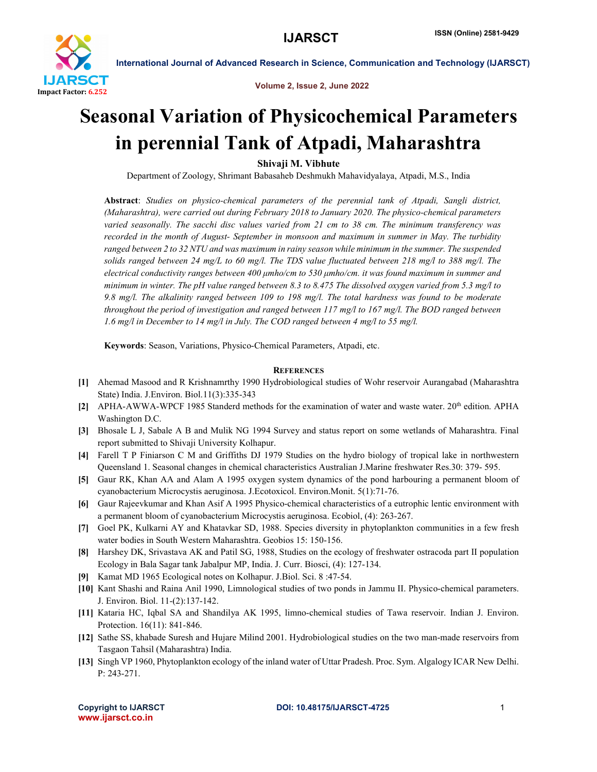

International Journal of Advanced Research in Science, Communication and Technology (IJARSCT)

Volume 2, Issue 2, June 2022

## Seasonal Variation of Physicochemical Parameters in perennial Tank of Atpadi, Maharashtra

Shivaji M. Vibhute

Department of Zoology, Shrimant Babasaheb Deshmukh Mahavidyalaya, Atpadi, M.S., India

Abstract: *Studies on physico-chemical parameters of the perennial tank of Atpadi, Sangli district, (Maharashtra), were carried out during February 2018 to January 2020. The physico-chemical parameters varied seasonally. The sacchi disc values varied from 21 cm to 38 cm. The minimum transferency was recorded in the month of August- September in monsoon and maximum in summer in May. The turbidity ranged between 2 to 32 NTU and was maximum in rainy season while minimum in the summer. The suspended solids ranged between 24 mg/L to 60 mg/l. The TDS value fluctuated between 218 mg/l to 388 mg/l. The electrical conductivity ranges between 400 μmho/cm to 530 μmho/cm. it was found maximum in summer and minimum in winter. The pH value ranged between 8.3 to 8.475 The dissolved oxygen varied from 5.3 mg/l to 9.8 mg/l. The alkalinity ranged between 109 to 198 mg/l. The total hardness was found to be moderate throughout the period of investigation and ranged between 117 mg/l to 167 mg/l. The BOD ranged between 1.6 mg/l in December to 14 mg/l in July. The COD ranged between 4 mg/l to 55 mg/l.* 

Keywords: Season, Variations, Physico-Chemical Parameters, Atpadi, etc.

## **REFERENCES**

- [1] Ahemad Masood and R Krishnamrthy 1990 Hydrobiological studies of Wohr reservoir Aurangabad (Maharashtra State) India. J.Environ. Biol.11(3):335-343
- [2] APHA-AWWA-WPCF 1985 Standerd methods for the examination of water and waste water. 20<sup>th</sup> edition. APHA Washington D.C.
- [3] Bhosale L J, Sabale A B and Mulik NG 1994 Survey and status report on some wetlands of Maharashtra. Final report submitted to Shivaji University Kolhapur.
- [4] Farell T P Finiarson C M and Griffiths DJ 1979 Studies on the hydro biology of tropical lake in northwestern Queensland 1. Seasonal changes in chemical characteristics Australian J.Marine freshwater Res.30: 379- 595.
- [5] Gaur RK, Khan AA and Alam A 1995 oxygen system dynamics of the pond harbouring a permanent bloom of cyanobacterium Microcystis aeruginosa. J.Ecotoxicol. Environ.Monit. 5(1):71-76.
- [6] Gaur Rajeevkumar and Khan Asif A 1995 Physico-chemical characteristics of a eutrophic lentic environment with a permanent bloom of cyanobacterium Microcystis aeruginosa. Ecobiol, (4): 263-267.
- [7] Goel PK, Kulkarni AY and Khatavkar SD, 1988. Species diversity in phytoplankton communities in a few fresh water bodies in South Western Maharashtra. Geobios 15: 150-156.
- [8] Harshey DK, Srivastava AK and Patil SG, 1988, Studies on the ecology of freshwater ostracoda part II population Ecology in Bala Sagar tank Jabalpur MP, India. J. Curr. Biosci, (4): 127-134.
- [9] Kamat MD 1965 Ecological notes on Kolhapur. J.Biol. Sci. 8 :47-54.
- [10] Kant Shashi and Raina Anil 1990, Limnological studies of two ponds in Jammu II. Physico-chemical parameters. J. Environ. Biol. 11-(2):137-142.
- [11] Kataria HC, Iqbal SA and Shandilya AK 1995, limno-chemical studies of Tawa reservoir. Indian J. Environ. Protection. 16(11): 841-846.
- [12] Sathe SS, khabade Suresh and Hujare Milind 2001. Hydrobiological studies on the two man-made reservoirs from Tasgaon Tahsil (Maharashtra) India.
- [13] Singh VP 1960, Phytoplankton ecology of the inland water of Uttar Pradesh. Proc. Sym. Algalogy ICAR New Delhi. P: 243-271.